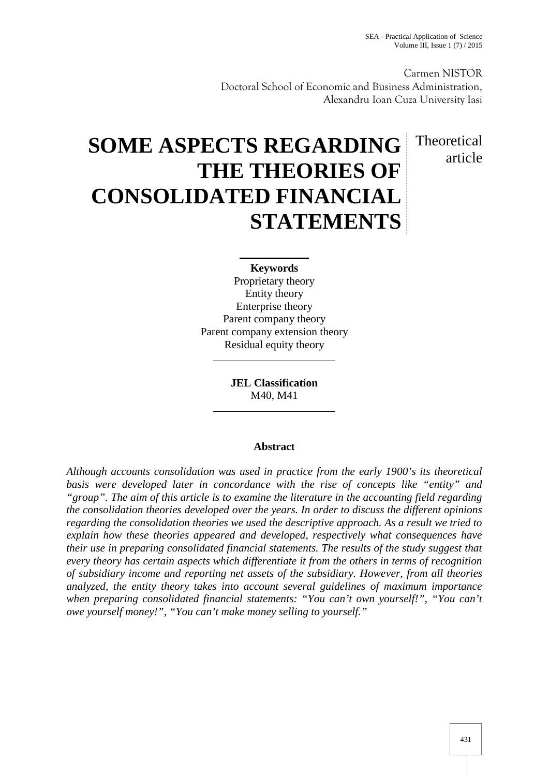Carmen NISTOR Doctoral School of Economic and Business Administration, Alexandru Ioan Cuza University Iasi

# Theoretical article

# **SOME ASPECTS REGARDING THE THEORIES OF CONSOLIDATED FINANCIAL STATEMENTS**

**Keywords** Proprietary theory Entity theory Enterprise theory Parent company theory Parent company extension theory Residual equity theory

> **JEL Classification** M40, M41

# **Abstract**

*Although accounts consolidation was used in practice from the early 1900's its theoretical basis were developed later in concordance with the rise of concepts like "entity" and "group". The aim of this article is to examine the literature in the accounting field regarding the consolidation theories developed over the years. In order to discuss the different opinions regarding the consolidation theories we used the descriptive approach. As a result we tried to explain how these theories appeared and developed, respectively what consequences have their use in preparing consolidated financial statements. The results of the study suggest that every theory has certain aspects which differentiate it from the others in terms of recognition of subsidiary income and reporting net assets of the subsidiary. However, from all theories analyzed, the entity theory takes into account several guidelines of maximum importance when preparing consolidated financial statements: "You can't own yourself!", "You can't owe yourself money!", "You can't make money selling to yourself."*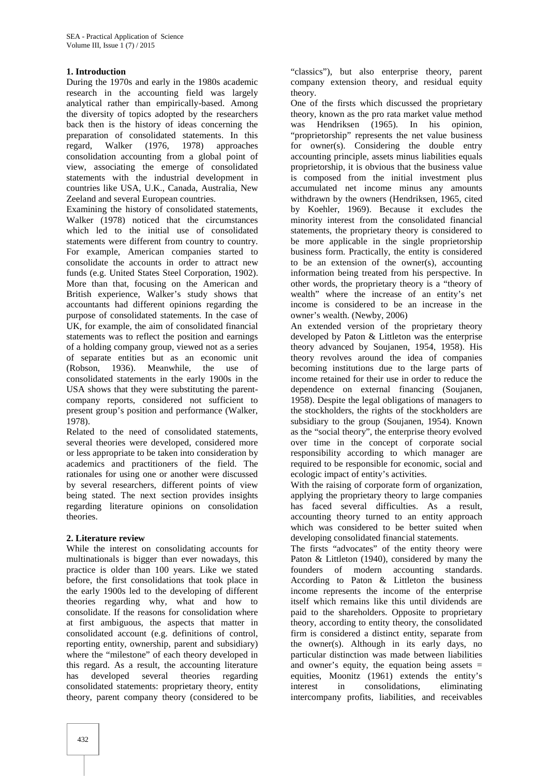# **1. Introduction**

During the 1970s and early in the 1980s academic research in the accounting field was largely analytical rather than empirically-based. Among the diversity of topics adopted by the researchers back then is the history of ideas concerning the preparation of consolidated statements. In this regard, Walker (1976, 1978) approaches regard, Walker (1976, 1978) approaches consolidation accounting from a global point of view, associating the emerge of consolidated statements with the industrial development in countries like USA, U.K., Canada, Australia, New Zeeland and several European countries.

Examining the history of consolidated statements, Walker (1978) noticed that the circumstances which led to the initial use of consolidated statements were different from country to country. For example, American companies started to consolidate the accounts in order to attract new funds (e.g. United States Steel Corporation, 1902). More than that, focusing on the American and British experience, Walker's study shows that accountants had different opinions regarding the purpose of consolidated statements. In the case of UK, for example, the aim of consolidated financial statements was to reflect the position and earnings of a holding company group, viewed not as a series of separate entities but as an economic unit<br>(Robson, 1936). Meanwhile, the use of (Robson, 1936). Meanwhile, the use of consolidated statements in the early 1900s in the USA shows that they were substituting the parent company reports, considered not sufficient to present group's position and performance (Walker, 1978).

Related to the need of consolidated statements, several theories were developed, considered more or less appropriate to be taken into consideration by academics and practitioners of the field. The rationales for using one or another were discussed by several researchers, different points of view being stated. The next section provides insights regarding literature opinions on consolidation theories.

# **2. Literature review**

While the interest on consolidating accounts for multinationals is bigger than ever nowadays, this practice is older than 100 years. Like we stated before, the first consolidations that took place in the early 1900s led to the developing of different theories regarding why, what and how to consolidate. If the reasons for consolidation where at first ambiguous, the aspects that matter in consolidated account (e.g. definitions of control, reporting entity, ownership, parent and subsidiary) where the "milestone" of each theory developed in this regard. As a result, the accounting literature has developed several theories regarding consolidated statements: proprietary theory, entity theory, parent company theory (considered to be

"classics"), but also enterprise theory, parent company extension theory, and residual equity theory.

One of the firsts which discussed the proprietary theory, known as the pro rata market value method was Hendriksen (1965). In his opinion, "proprietorship" represents the net value business for owner(s). Considering the double entry accounting principle, assets minus liabilities equals proprietorship, it is obvious that the business value is composed from the initial investment plus accumulated net income minus any amounts withdrawn by the owners (Hendriksen, 1965, cited by Koehler, 1969). Because it excludes the minority interest from the consolidated financial statements, the proprietary theory is considered to be more applicable in the single proprietorship business form. Practically, the entity is considered to be an extension of the owner(s), accounting information being treated from his perspective. In other words, the proprietary theory is a "theory of wealth" where the increase of an entity's net income is considered to be an increase in the owner's wealth. (Newby, 2006)

An extended version of the proprietary theory developed by Paton & Littleton was the enterprise theory advanced by Soujanen, 1954, 1958). His theory revolves around the idea of companies becoming institutions due to the large parts of income retained for their use in order to reduce the dependence on external financing (Soujanen, 1958). Despite the legal obligations of managers to the stockholders, the rights of the stockholders are subsidiary to the group (Soujanen, 1954). Known as the "social theory", the enterprise theory evolved over time in the concept of corporate social responsibility according to which manager are required to be responsible for economic, social and ecologic impact of entity's activities.

With the raising of corporate form of organization, applying the proprietary theory to large companies has faced several difficulties. As a result, accounting theory turned to an entity approach which was considered to be better suited when developing consolidated financial statements.

The firsts "advocates" of the entity theory were Paton & Littleton (1940), considered by many the founders of modern accounting standards. According to Paton & Littleton the business income represents the income of the enterprise itself which remains like this until dividends are paid to the shareholders. Opposite to proprietary theory, according to entity theory, the consolidated firm is considered a distinct entity, separate from the owner(s). Although in its early days, no particular distinction was made between liabilities and owner's equity, the equation being assets  $=$ equities, Moonitz (1961) extends the entity's in consolidations, eliminating intercompany profits, liabilities, and receivables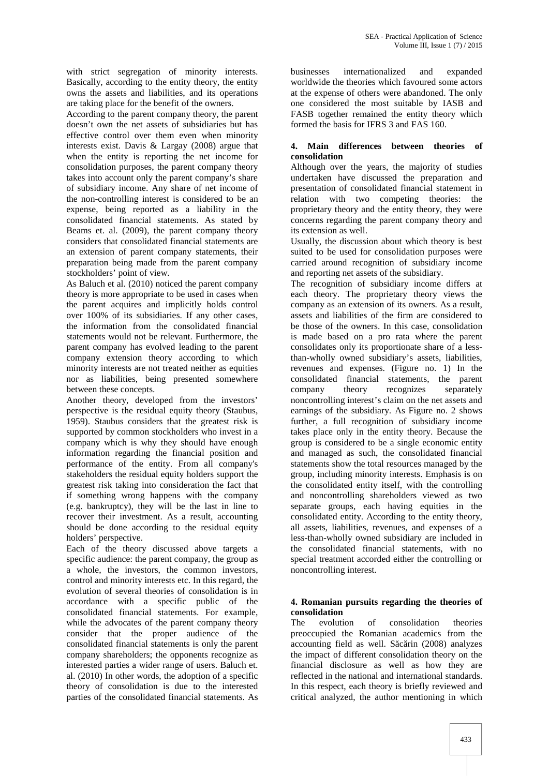with strict segregation of minority interests. Basically, according to the entity theory, the entity owns the assets and liabilities, and its operations are taking place for the benefit of the owners.

According to the parent company theory, the parent doesn't own the net assets of subsidiaries but has effective control over them even when minority interests exist. Davis & Largay (2008) argue that when the entity is reporting the net income for consolidation purposes, the parent company theory takes into account only the parent company's share of subsidiary income. Any share of net income of the non-controlling interest is considered to be an expense, being reported as a liability in the consolidated financial statements. As stated by Beams et. al. (2009), the parent company theory considers that consolidated financial statements are an extension of parent company statements, their preparation being made from the parent company stockholders' point of view.

As Baluch et al. (2010) noticed the parent company theory is more appropriate to be used in cases when the parent acquires and implicitly holds control over 100% of its subsidiaries. If any other cases, the information from the consolidated financial statements would not be relevant. Furthermore, the parent company has evolved leading to the parent company extension theory according to which minority interests are not treated neither as equities nor as liabilities, being presented somewhere between these concepts.

Another theory, developed from the investors' perspective is the residual equity theory (Staubus, 1959). Staubus considers that the greatest risk is supported by common stockholders who invest in a company which is why they should have enough information regarding the financial position and performance of the entity. From all company's stakeholders the residual equity holders support the greatest risk taking into consideration the fact that if something wrong happens with the company (e.g. bankruptcy), they will be the last in line to recover their investment. As a result, accounting should be done according to the residual equity holders' perspective.

Each of the theory discussed above targets a specific audience: the parent company, the group as a whole, the investors, the common investors, control and minority interests etc. In this regard, the evolution of several theories of consolidation is in accordance with a specific public of the consolidated financial statements. For example, while the advocates of the parent company theory The consider that the proper audience of the consolidated financial statements is only the parent company shareholders; the opponents recognize as interested parties a wider range of users. Baluch et. al. (2010) In other words, the adoption of a specific theory of consolidation is due to the interested parties of the consolidated financial statements. As

businesses internationalized and expanded worldwide the theories which favoured some actors at the expense of others were abandoned. The only one considered the most suitable by IASB and FASB together remained the entity theory which formed the basis for IFRS 3 and FAS 160.

# **4. Main differences between theories of consolidation**

Although over the years, the majority of studies undertaken have discussed the preparation and presentation of consolidated financial statement in relation with two competing theories: the proprietary theory and the entity theory, they were concerns regarding the parent company theory and its extension as well.

Usually, the discussion about which theory is best suited to be used for consolidation purposes were carried around recognition of subsidiary income and reporting net assets of the subsidiary.

The recognition of subsidiary income differs at each theory. The proprietary theory views the company as an extension of its owners. As a result, assets and liabilities of the firm are considered to be those of the owners. In this case, consolidation is made based on a pro rata where the parent consolidates only its proportionate share of a lessthan-wholly owned subsidiary's assets, liabilities, revenues and expenses. (Figure no. 1) In the consolidated financial statements, the parent company theory recognizes separately noncontrolling interest's claim on the net assets and earnings of the subsidiary. As Figure no. 2 shows further, a full recognition of subsidiary income takes place only in the entity theory. Because the group is considered to be a single economic entity and managed as such, the consolidated financial statements show the total resources managed by the group, including minority interests. Emphasis is on the consolidated entity itself, with the controlling and noncontrolling shareholders viewed as two separate groups, each having equities in the consolidated entity. According to the entity theory, all assets, liabilities, revenues, and expenses of a less-than-wholly owned subsidiary are included in the consolidated financial statements, with no special treatment accorded either the controlling or noncontrolling interest.

# **4. Romanian pursuits regarding the theories of consolidation**

evolution of consolidation theories preoccupied the Romanian academics from the accounting field as well. S  $\tilde{c}$  rin (2008) analyzes the impact of different consolidation theory on the financial disclosure as well as how they are reflected in the national and international standards. In this respect, each theory is briefly reviewed and critical analyzed, the author mentioning in which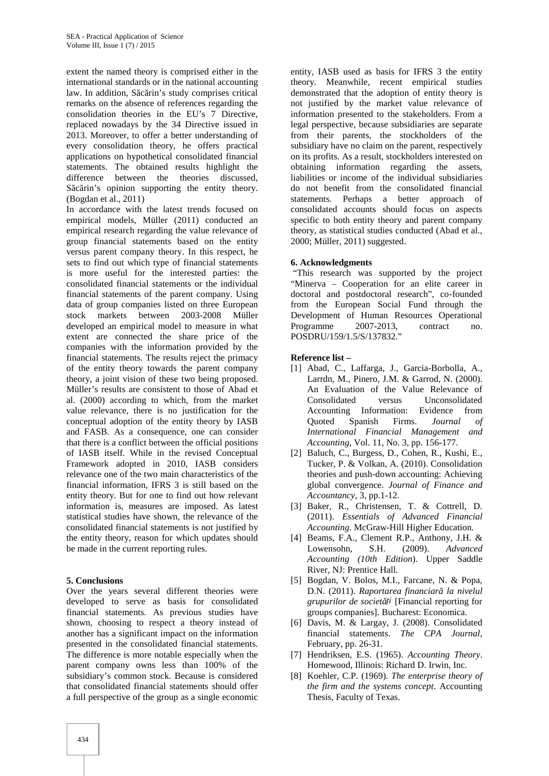extent the named theory is comprised either in the international standards or in the national accounting law. In addition, S c rin's study comprises critical remarks on the absence of references regarding the consolidation theories in the EU's 7 Directive, replaced nowadays by the 34 Directive issued in 2013. Moreover, to offer a better understanding of every consolidation theory, he offers practical applications on hypothetical consolidated financial statements. The obtained results highlight the difference between the theories discussed, S c rin's opinion supporting the entity theory. (Bogdan et al., 2011)

In accordance with the latest trends focused on empirical models, Müller (2011) conducted an empirical research regarding the value relevance of group financial statements based on the entity versus parent company theory. In this respect, he sets to find out which type of financial statements is more useful for the interested parties: the consolidated financial statements or the individual financial statements of the parent company. Using data of group companies listed on three European stock markets between 2003-2008 Müller developed an empirical model to measure in what extent are connected the share price of the companies with the information provided by the financial statements. The results reject the primacy of the entity theory towards the parent company theory, a joint vision of these two being proposed. Müller's results are consistent to those of Abad et al. (2000) according to which, from the market value relevance, there is no justification for the conceptual adoption of the entity theory by IASB and FASB. As a consequence, one can consider that there is a conflict between the official positions of IASB itself. While in the revised Conceptual Framework adopted in 2010, IASB considers relevance one of the two main characteristics of the financial information, IFRS 3 is still based on the entity theory. But for one to find out how relevant information is, measures are imposed. As latest statistical studies have shown, the relevance of the consolidated financial statements is not justified by the entity theory, reason for which updates should be made in the current reporting rules.

# **5. Conclusions**

Over the years several different theories were developed to serve as basis for consolidated financial statements. As previous studies have shown, choosing to respect a theory instead of another has a significant impact on the information presented in the consolidated financial statements. The difference is more notable especially when the parent company owns less than 100% of the subsidiary's common stock. Because is considered that consolidated financial statements should offer a full perspective of the group as a single economic

entity, IASB used as basis for IFRS 3 the entity theory. Meanwhile, recent empirical studies demonstrated that the adoption of entity theory is not justified by the market value relevance of information presented to the stakeholders. From a legal perspective, because subsidiaries are separate from their parents, the stockholders of the subsidiary have no claim on the parent, respectively on its profits. As a result, stockholders interested on obtaining information regarding the assets, liabilities or income of the individual subsidiaries do not benefit from the consolidated financial statements. Perhaps a better approach of consolidated accounts should focus on aspects specific to both entity theory and parent company theory, as statistical studies conducted (Abad et al., 2000; Müller, 2011) suggested.

# **6. Acknowledgments**

"This research was supported by the project "Minerva – Cooperation for an elite career in doctoral and postdoctoral research", co-founded from the European Social Fund through the Development of Human Resources Operational Programme 2007-2013, contract no. POSDRU/159/1.5/S/137832."

# **Reference list –**

- [1] Abad, C., Laffarga, J., Garcia-Borbolla, A., Larrdn, M., Pinero, J.M. & Garrod, N. (2000). An Evaluation of the Value Relevance of Consolidated versus Unconsolidated Accounting Information: Evidence from Quoted Spanish Firms. *Journal of International Financial Management and Accounting*, Vol. 11, No. 3, pp. 156-177.
- [2] Baluch, C., Burgess, D., Cohen, R., Kushi, E., Tucker, P. & Volkan, A. (2010). Consolidation theories and push-down accounting: Achieving global convergence. *Journal of Finance and Accountancy*, 3, pp.1-12.
- [3] Baker, R., Christensen, T. & Cottrell, D. (2011). *Essentials of Advanced Financial Accounting*. McGraw-Hill Higher Education.
- [4] Beams, F.A., Clement R.P., Anthony, J.H. & Lowensohn, S.H. (2009). *Advanced Accounting (10th Edition*). Upper Saddle River, NJ: Prentice Hall.
- [5] Bogdan, V. Bolos, M.I., Farcane, N. & Popa, D.N. (2011). *Raportarea financiar* la nivelul *grupurilor de societ ți* [Financial reporting for groups companies]. Bucharest: Economica.
- [6] Davis, M. & Largay, J. (2008). Consolidated financial statements. *The CPA Journal*, February, pp. 26-31.
- [7] Hendriksen, E.S. (1965). *Accounting Theory*. Homewood, Illinois: Richard D. Irwin, Inc.
- [8] Koehler, C.P. (1969). *The enterprise theory of the firm and the systems concept*. Accounting Thesis, Faculty of Texas.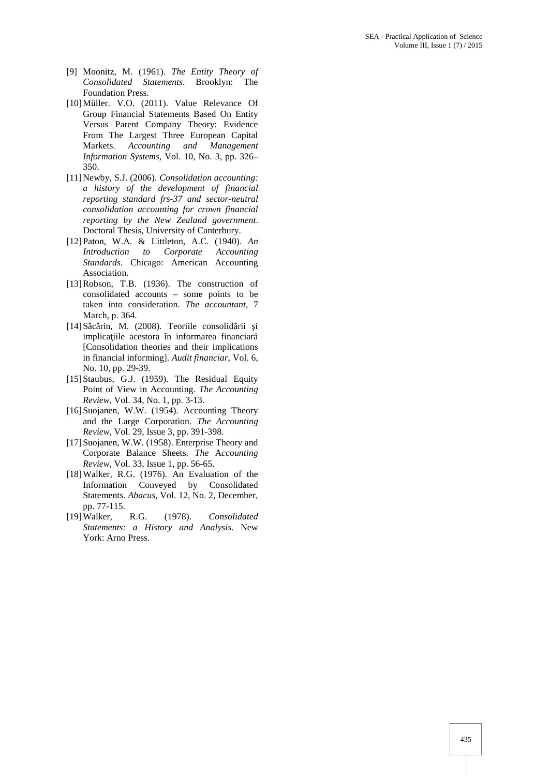- [9] Moonitz, M. (1961). *The Entity Theory of Consolidated Statements*. Brooklyn: The Foundation Press.
- [10]Müller. V.O. (2011). Value Relevance Of Group Financial Statements Based On Entity Versus Parent Company Theory: Evidence From The Largest Three European Capital Markets. *Accounting and Management Information Systems*, Vol. 10, No. 3, pp. 326– 350.
- [11]Newby, S.J. (2006). *Consolidation accounting: a history of the development of financial reporting standard frs-37 and sector-neutral consolidation accounting for crown financial reporting by the New Zealand government*. Doctoral Thesis, University of Canterbury.
- [12]Paton, W.A. & Littleton, A.C. (1940). *An Introduction to Corporate Accounting Standards*. Chicago: American Accounting Association.
- [13]Robson, T.B. (1936). The construction of consolidated accounts – some points to be taken into consideration. *The accountant*, 7 March, p. 364.
- $[14]$ S c rin, M. (2008). Teoriile consolid rii i implica iile acestora în informarea financiar [Consolidation theories and their implications in financial informing]. *Audit financiar*, Vol. 6, No. 10, pp. 29-39.
- [15] Staubus, G.J. (1959). The Residual Equity Point of View in Accounting. *The Accounting Review*, Vol. 34, No. 1, pp. 3-13.
- [16]Suojanen, W.W. (1954). Accounting Theory and the Large Corporation. *The Accounting Review*, Vol. 29, Issue 3, pp. 391-398.
- [17]Suojanen, W.W. (1958). Enterprise Theory and Corporate Balance Sheets. *The* A*ccounting Review*, Vol. 33, Issue 1, pp. 56-65.
- [18]Walker, R.G. (1976). An Evaluation of the Information Conveyed by Consolidated Statements. *Abacus*, Vol. 12, No. 2, December, pp. 77-115.
- [19]Walker, R.G. (1978). *Consolidated Statements: a History and Analysis*. New York: Arno Press.